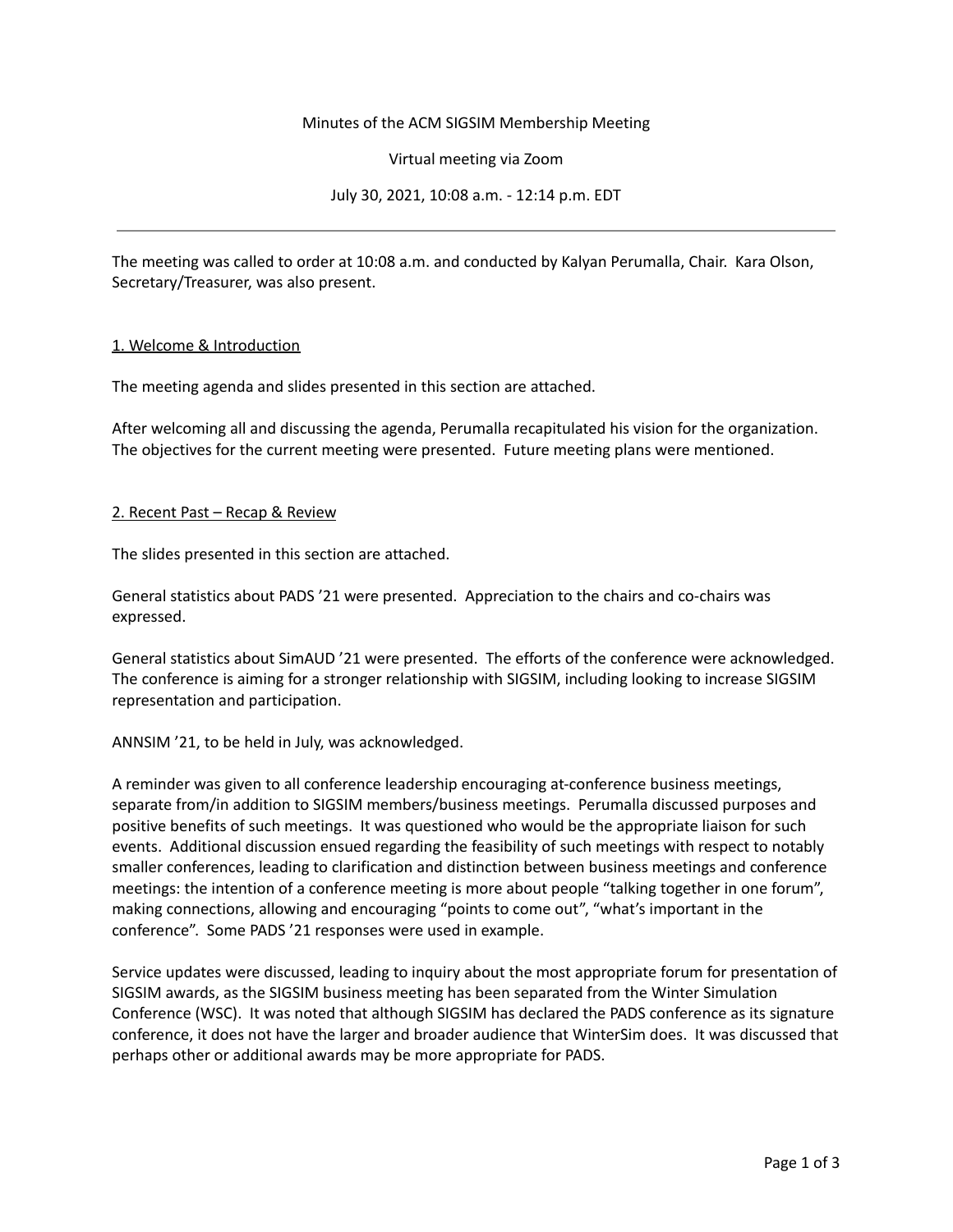# Minutes of the ACM SIGSIM Membership Meeting

Virtual meeting via Zoom

July 30, 2021, 10:08 a.m. - 12:14 p.m. EDT

The meeting was called to order at 10:08 a.m. and conducted by Kalyan Perumalla, Chair. Kara Olson, Secretary/Treasurer, was also present.

#### 1. Welcome & Introduction

The meeting agenda and slides presented in this section are attached.

After welcoming all and discussing the agenda, Perumalla recapitulated his vision for the organization. The objectives for the current meeting were presented. Future meeting plans were mentioned.

#### 2. Recent Past – Recap & Review

The slides presented in this section are attached.

General statistics about PADS '21 were presented. Appreciation to the chairs and co-chairs was expressed.

General statistics about SimAUD '21 were presented. The efforts of the conference were acknowledged. The conference is aiming for a stronger relationship with SIGSIM, including looking to increase SIGSIM representation and participation.

ANNSIM '21, to be held in July, was acknowledged.

A reminder was given to all conference leadership encouraging at-conference business meetings, separate from/in addition to SIGSIM members/business meetings. Perumalla discussed purposes and positive benefits of such meetings. It was questioned who would be the appropriate liaison for such events. Additional discussion ensued regarding the feasibility of such meetings with respect to notably smaller conferences, leading to clarification and distinction between business meetings and conference meetings: the intention of a conference meeting is more about people "talking together in one forum", making connections, allowing and encouraging "points to come out", "what's important in the conference". Some PADS '21 responses were used in example.

Service updates were discussed, leading to inquiry about the most appropriate forum for presentation of SIGSIM awards, as the SIGSIM business meeting has been separated from the Winter Simulation Conference (WSC). It was noted that although SIGSIM has declared the PADS conference as its signature conference, it does not have the larger and broader audience that WinterSim does. It was discussed that perhaps other or additional awards may be more appropriate for PADS.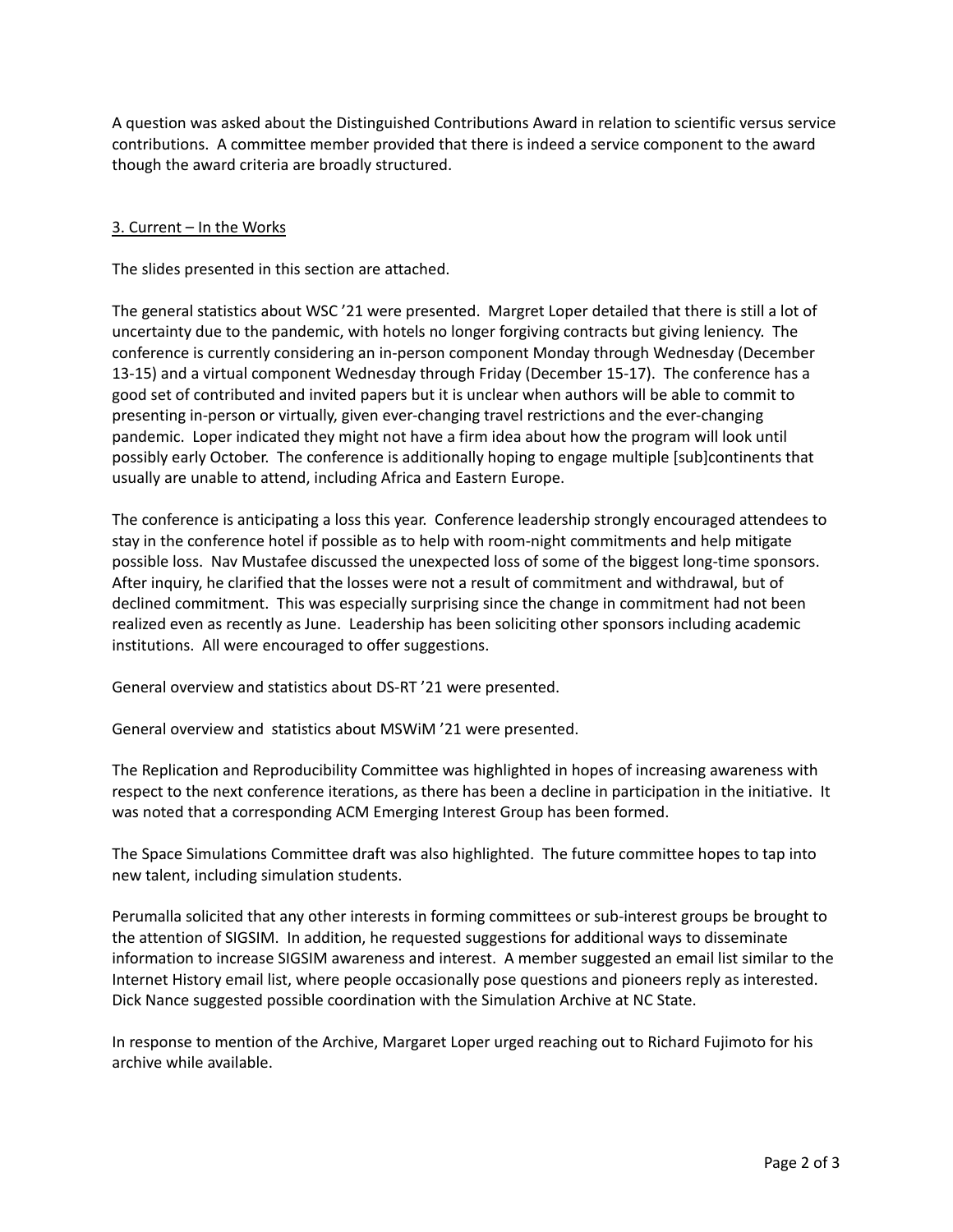A question was asked about the Distinguished Contributions Award in relation to scientific versus service contributions. A committee member provided that there is indeed a service component to the award though the award criteria are broadly structured.

# 3. Current – In the Works

The slides presented in this section are attached.

The general statistics about WSC '21 were presented. Margret Loper detailed that there is still a lot of uncertainty due to the pandemic, with hotels no longer forgiving contracts but giving leniency. The conference is currently considering an in-person component Monday through Wednesday (December 13-15) and a virtual component Wednesday through Friday (December 15-17). The conference has a good set of contributed and invited papers but it is unclear when authors will be able to commit to presenting in-person or virtually, given ever-changing travel restrictions and the ever-changing pandemic. Loper indicated they might not have a firm idea about how the program will look until possibly early October. The conference is additionally hoping to engage multiple [sub]continents that usually are unable to attend, including Africa and Eastern Europe.

The conference is anticipating a loss this year. Conference leadership strongly encouraged attendees to stay in the conference hotel if possible as to help with room-night commitments and help mitigate possible loss. Nav Mustafee discussed the unexpected loss of some of the biggest long-time sponsors. After inquiry, he clarified that the losses were not a result of commitment and withdrawal, but of declined commitment. This was especially surprising since the change in commitment had not been realized even as recently as June. Leadership has been soliciting other sponsors including academic institutions. All were encouraged to offer suggestions.

General overview and statistics about DS-RT '21 were presented.

General overview and statistics about MSWiM '21 were presented.

The Replication and Reproducibility Committee was highlighted in hopes of increasing awareness with respect to the next conference iterations, as there has been a decline in participation in the initiative. It was noted that a corresponding ACM Emerging Interest Group has been formed.

The Space Simulations Committee draft was also highlighted. The future committee hopes to tap into new talent, including simulation students.

Perumalla solicited that any other interests in forming committees or sub-interest groups be brought to the attention of SIGSIM. In addition, he requested suggestions for additional ways to disseminate information to increase SIGSIM awareness and interest. A member suggested an email list similar to the Internet History email list, where people occasionally pose questions and pioneers reply as interested. Dick Nance suggested possible coordination with the Simulation Archive at NC State.

In response to mention of the Archive, Margaret Loper urged reaching out to Richard Fujimoto for his archive while available.